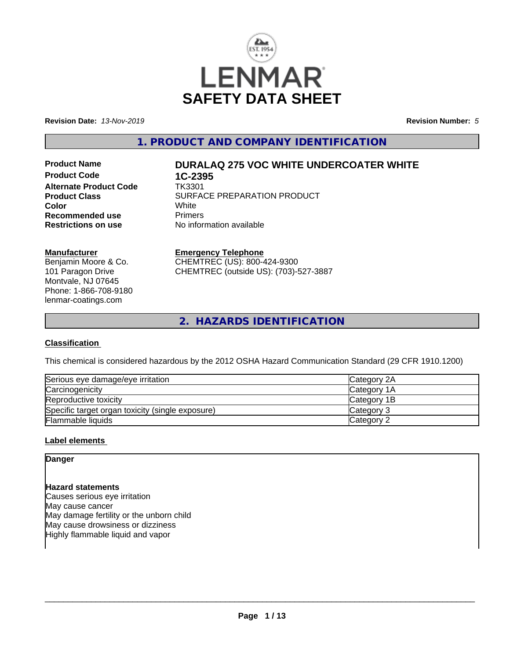

**Revision Date:** *13-Nov-2019* **Revision Number:** *5*

**1. PRODUCT AND COMPANY IDENTIFICATION**

**Product Code 1C-2395**<br>**Alternate Product Code 1K3301 Alternate Product Code Recommended use The Primers<br>
<b>Restrictions on use** No inform

# **Product Name DURALAQ 275 VOC WHITE UNDERCOATER WHITE**

**Product Class** SURFACE PREPARATION PRODUCT<br>
Color **Color** White White **No information available** 

### **Manufacturer**

Benjamin Moore & Co. 101 Paragon Drive Montvale, NJ 07645 Phone: 1-866-708-9180 lenmar-coatings.com

### **Emergency Telephone**

CHEMTREC (US): 800-424-9300 CHEMTREC (outside US): (703)-527-3887

**2. HAZARDS IDENTIFICATION**

# **Classification**

This chemical is considered hazardous by the 2012 OSHA Hazard Communication Standard (29 CFR 1910.1200)

| Serious eye damage/eye irritation                | <b>Category 2A</b> |
|--------------------------------------------------|--------------------|
| Carcinogenicity                                  | <b>Category 1A</b> |
| Reproductive toxicity                            | Category 1B        |
| Specific target organ toxicity (single exposure) | Category 3         |
| Flammable liquids                                | Category 2         |

#### **Label elements**

# **Danger**

# **Hazard statements**

Causes serious eye irritation May cause cancer May damage fertility or the unborn child May cause drowsiness or dizziness Highly flammable liquid and vapor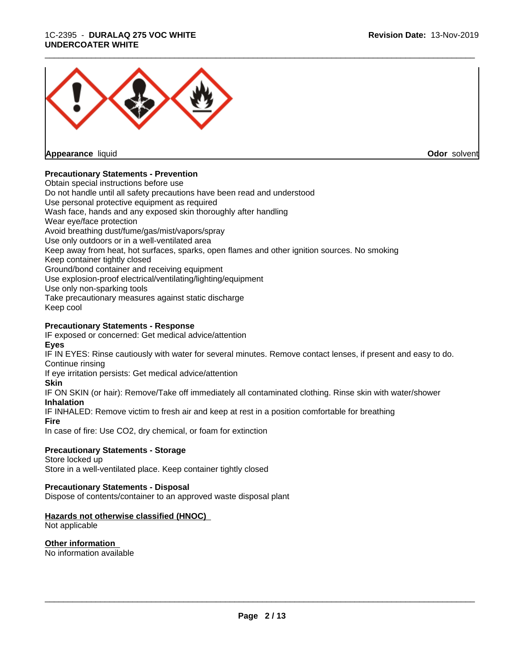### 1C-2395 - **DURALAQ 275 VOC WHITE UNDERCOATER WHITE**



**Appearance** liquid

**Odor** solvent

# **Precautionary Statements - Prevention**

Obtain special instructions before use Do not handle until all safety precautions have been read and understood Use personal protective equipment as required Wash face, hands and any exposed skin thoroughly after handling Wear eye/face protection Avoid breathing dust/fume/gas/mist/vapors/spray Use only outdoors or in a well-ventilated area Keep away from heat, hot surfaces, sparks, open flames and other ignition sources. No smoking Keep container tightly closed Ground/bond container and receiving equipment Use explosion-proof electrical/ventilating/lighting/equipment Use only non-sparking tools Take precautionary measures against static discharge Keep cool

# **Precautionary Statements - Response**

IF exposed or concerned: Get medical advice/attention **Eyes**

IF IN EYES: Rinse cautiously with water for several minutes. Remove contact lenses, if present and easy to do. Continue rinsing

If eye irritation persists: Get medical advice/attention

# **Skin**

IF ON SKIN (or hair): Remove/Take off immediately all contaminated clothing. Rinse skin with water/shower **Inhalation**

IF INHALED: Remove victim to fresh air and keep at rest in a position comfortable for breathing

## **Fire**

In case of fire: Use CO2, dry chemical, or foam for extinction

# **Precautionary Statements - Storage**

Store locked up Store in a well-ventilated place. Keep container tightly closed

# **Precautionary Statements - Disposal**

Dispose of contents/container to an approved waste disposal plant

# **Hazards not otherwise classified (HNOC)**

Not applicable

# **Other information**

No information available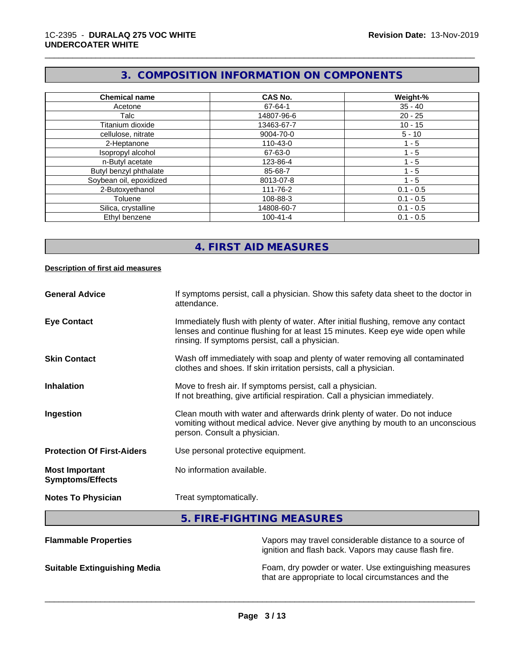# **3. COMPOSITION INFORMATION ON COMPONENTS**

\_\_\_\_\_\_\_\_\_\_\_\_\_\_\_\_\_\_\_\_\_\_\_\_\_\_\_\_\_\_\_\_\_\_\_\_\_\_\_\_\_\_\_\_\_\_\_\_\_\_\_\_\_\_\_\_\_\_\_\_\_\_\_\_\_\_\_\_\_\_\_\_\_\_\_\_\_\_\_\_\_\_\_\_\_\_\_\_\_\_\_\_\_

| <b>Chemical name</b>    | CAS No.        | Weight-%    |
|-------------------------|----------------|-------------|
| Acetone                 | 67-64-1        | $35 - 40$   |
| Talc                    | 14807-96-6     | $20 - 25$   |
| Titanium dioxide        | 13463-67-7     | $10 - 15$   |
| cellulose, nitrate      | 9004-70-0      | $5 - 10$    |
| 2-Heptanone             | 110-43-0       | 1 - 5       |
| Isopropyl alcohol       | 67-63-0        | 1 - 5       |
| n-Butyl acetate         | 123-86-4       | 1 - 5       |
| Butyl benzyl phthalate  | 85-68-7        | $1 - 5$     |
| Soybean oil, epoxidized | 8013-07-8      | $1 - 5$     |
| 2-Butoxyethanol         | 111-76-2       | $0.1 - 0.5$ |
| Toluene                 | 108-88-3       | $0.1 - 0.5$ |
| Silica, crystalline     | 14808-60-7     | $0.1 - 0.5$ |
| Ethyl benzene           | $100 - 41 - 4$ | $0.1 - 0.5$ |

# **4. FIRST AID MEASURES**

#### **Description of first aid measures**

| <b>General Advice</b>                            | If symptoms persist, call a physician. Show this safety data sheet to the doctor in<br>attendance.                                                                                                                      |
|--------------------------------------------------|-------------------------------------------------------------------------------------------------------------------------------------------------------------------------------------------------------------------------|
| <b>Eye Contact</b>                               | Immediately flush with plenty of water. After initial flushing, remove any contact<br>lenses and continue flushing for at least 15 minutes. Keep eye wide open while<br>rinsing. If symptoms persist, call a physician. |
| <b>Skin Contact</b>                              | Wash off immediately with soap and plenty of water removing all contaminated<br>clothes and shoes. If skin irritation persists, call a physician.                                                                       |
| <b>Inhalation</b>                                | Move to fresh air. If symptoms persist, call a physician.<br>If not breathing, give artificial respiration. Call a physician immediately.                                                                               |
| Ingestion                                        | Clean mouth with water and afterwards drink plenty of water. Do not induce<br>vomiting without medical advice. Never give anything by mouth to an unconscious<br>person. Consult a physician.                           |
| <b>Protection Of First-Aiders</b>                | Use personal protective equipment.                                                                                                                                                                                      |
| <b>Most Important</b><br><b>Symptoms/Effects</b> | No information available.                                                                                                                                                                                               |
| <b>Notes To Physician</b>                        | Treat symptomatically.                                                                                                                                                                                                  |
|                                                  | 5. FIRE-FIGHTING MEASURES                                                                                                                                                                                               |
| <b>Flammable Properties</b>                      | Vapors may travel considerable distance to a source of<br>ignition and flash back. Vapors may cause flash fire                                                                                                          |

ignition and flash back. Vapors may cause flash fire. **Suitable Extinguishing Media** Foam, dry powder or water. Use extinguishing measures

that are appropriate to local circumstances and the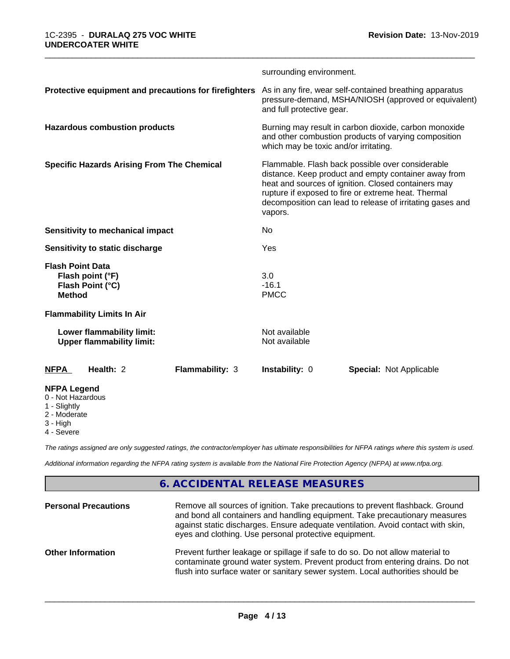|                                                                                  | surrounding environment.                                                                                                                                                                                                                                                                       |
|----------------------------------------------------------------------------------|------------------------------------------------------------------------------------------------------------------------------------------------------------------------------------------------------------------------------------------------------------------------------------------------|
| Protective equipment and precautions for firefighters                            | As in any fire, wear self-contained breathing apparatus<br>pressure-demand, MSHA/NIOSH (approved or equivalent)<br>and full protective gear.                                                                                                                                                   |
| <b>Hazardous combustion products</b>                                             | Burning may result in carbon dioxide, carbon monoxide<br>and other combustion products of varying composition<br>which may be toxic and/or irritating.                                                                                                                                         |
| <b>Specific Hazards Arising From The Chemical</b>                                | Flammable. Flash back possible over considerable<br>distance. Keep product and empty container away from<br>heat and sources of ignition. Closed containers may<br>rupture if exposed to fire or extreme heat. Thermal<br>decomposition can lead to release of irritating gases and<br>vapors. |
| Sensitivity to mechanical impact                                                 | No                                                                                                                                                                                                                                                                                             |
| Sensitivity to static discharge                                                  | Yes                                                                                                                                                                                                                                                                                            |
| <b>Flash Point Data</b><br>Flash point (°F)<br>Flash Point (°C)<br><b>Method</b> | 3.0<br>$-16.1$<br><b>PMCC</b>                                                                                                                                                                                                                                                                  |
| <b>Flammability Limits In Air</b>                                                |                                                                                                                                                                                                                                                                                                |
| Lower flammability limit:<br><b>Upper flammability limit:</b>                    | Not available<br>Not available                                                                                                                                                                                                                                                                 |
| Health: 2<br>Flammability: 3<br><b>NFPA</b>                                      | <b>Instability: 0</b><br><b>Special: Not Applicable</b>                                                                                                                                                                                                                                        |
| <b>NFPA Legend</b><br>0 - Not Hazardous<br>1 - Slightly                          |                                                                                                                                                                                                                                                                                                |

2 - Moderate

- 3 High
- 4 Severe

*The ratings assigned are only suggested ratings, the contractor/employer has ultimate responsibilities for NFPA ratings where this system is used.*

*Additional information regarding the NFPA rating system is available from the National Fire Protection Agency (NFPA) at www.nfpa.org.*

# **6. ACCIDENTAL RELEASE MEASURES**

| <b>Personal Precautions</b> | Remove all sources of ignition. Take precautions to prevent flashback. Ground<br>and bond all containers and handling equipment. Take precautionary measures<br>against static discharges. Ensure adequate ventilation. Avoid contact with skin,<br>eyes and clothing. Use personal protective equipment. |
|-----------------------------|-----------------------------------------------------------------------------------------------------------------------------------------------------------------------------------------------------------------------------------------------------------------------------------------------------------|
| <b>Other Information</b>    | Prevent further leakage or spillage if safe to do so. Do not allow material to<br>contaminate ground water system. Prevent product from entering drains. Do not<br>flush into surface water or sanitary sewer system. Local authorities should be                                                         |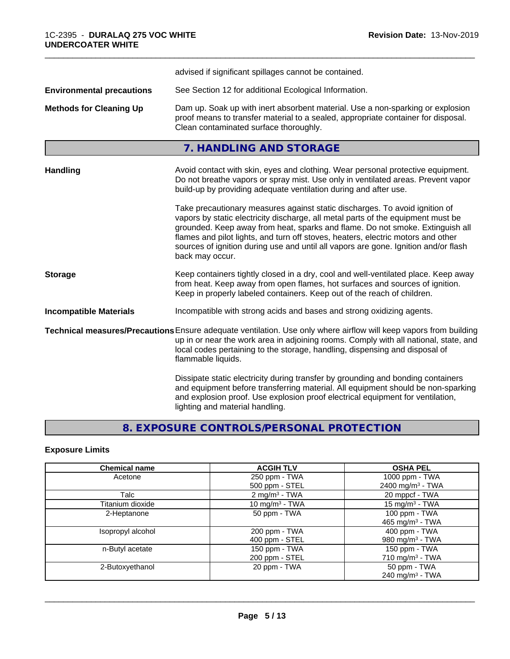|                                  | advised if significant spillages cannot be contained.                                                                                                                                                                                                                                                                                                                                                                                          |
|----------------------------------|------------------------------------------------------------------------------------------------------------------------------------------------------------------------------------------------------------------------------------------------------------------------------------------------------------------------------------------------------------------------------------------------------------------------------------------------|
| <b>Environmental precautions</b> | See Section 12 for additional Ecological Information.                                                                                                                                                                                                                                                                                                                                                                                          |
| <b>Methods for Cleaning Up</b>   | Dam up. Soak up with inert absorbent material. Use a non-sparking or explosion<br>proof means to transfer material to a sealed, appropriate container for disposal.<br>Clean contaminated surface thoroughly.                                                                                                                                                                                                                                  |
|                                  | 7. HANDLING AND STORAGE                                                                                                                                                                                                                                                                                                                                                                                                                        |
| <b>Handling</b>                  | Avoid contact with skin, eyes and clothing. Wear personal protective equipment.<br>Do not breathe vapors or spray mist. Use only in ventilated areas. Prevent vapor<br>build-up by providing adequate ventilation during and after use.                                                                                                                                                                                                        |
|                                  | Take precautionary measures against static discharges. To avoid ignition of<br>vapors by static electricity discharge, all metal parts of the equipment must be<br>grounded. Keep away from heat, sparks and flame. Do not smoke. Extinguish all<br>flames and pilot lights, and turn off stoves, heaters, electric motors and other<br>sources of ignition during use and until all vapors are gone. Ignition and/or flash<br>back may occur. |
| <b>Storage</b>                   | Keep containers tightly closed in a dry, cool and well-ventilated place. Keep away<br>from heat. Keep away from open flames, hot surfaces and sources of ignition.<br>Keep in properly labeled containers. Keep out of the reach of children.                                                                                                                                                                                                  |
| <b>Incompatible Materials</b>    | Incompatible with strong acids and bases and strong oxidizing agents.                                                                                                                                                                                                                                                                                                                                                                          |
|                                  | Technical measures/Precautions Ensure adequate ventilation. Use only where airflow will keep vapors from building<br>up in or near the work area in adjoining rooms. Comply with all national, state, and<br>local codes pertaining to the storage, handling, dispensing and disposal of<br>flammable liquids.                                                                                                                                 |
|                                  | Dissipate static electricity during transfer by grounding and bonding containers<br>and equipment before transferring material. All equipment should be non-sparking<br>and explosion proof. Use explosion proof electrical equipment for ventilation,<br>lighting and material handling.                                                                                                                                                      |

# **8. EXPOSURE CONTROLS/PERSONAL PROTECTION**

# **Exposure Limits**

| <b>Chemical name</b> | <b>ACGIH TLV</b>            | <b>OSHA PEL</b>              |
|----------------------|-----------------------------|------------------------------|
| Acetone              | 250 ppm - TWA               | 1000 ppm - TWA               |
|                      | 500 ppm - STEL              | 2400 mg/m <sup>3</sup> - TWA |
| Talc                 | $2$ mg/m <sup>3</sup> - TWA | 20 mppcf - TWA               |
| Titanium dioxide     | 10 mg/m $3$ - TWA           | 15 mg/m <sup>3</sup> - TWA   |
| 2-Heptanone          | 50 ppm - TWA                | 100 ppm - TWA                |
|                      |                             | 465 mg/m <sup>3</sup> - TWA  |
| Isopropyl alcohol    | 200 ppm - TWA               | 400 ppm - TWA                |
|                      | 400 ppm - STEL              | 980 mg/m $3$ - TWA           |
| n-Butyl acetate      | 150 ppm - TWA               | 150 ppm - TWA                |
|                      | 200 ppm - STEL              | 710 mg/m $3$ - TWA           |
| 2-Butoxyethanol      | 20 ppm - TWA                | 50 ppm - TWA                 |
|                      |                             | 240 mg/m $3$ - TWA           |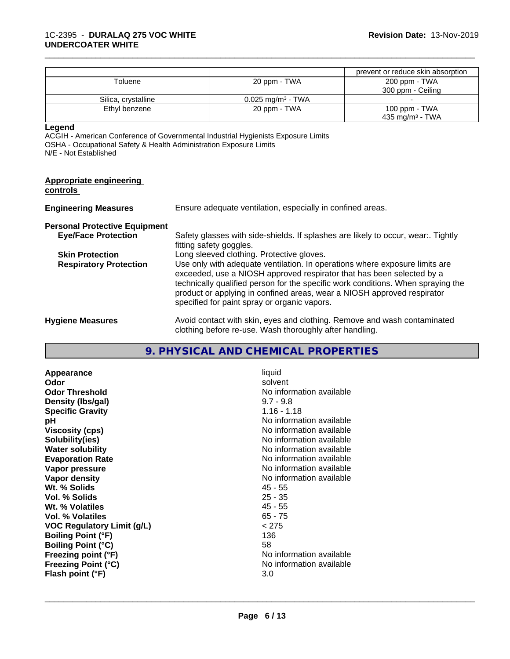|                     |                              | prevent or reduce skin absorption |
|---------------------|------------------------------|-----------------------------------|
| Toluene             | 20 ppm - TWA                 | 200 ppm - TWA                     |
|                     |                              | 300 ppm - Ceiling                 |
| Silica, crystalline | $0.025 \text{ mg/m}^3$ - TWA |                                   |
| Ethyl benzene       | 20 ppm - TWA                 | 100 ppm - TWA                     |
|                     |                              | 435 mg/m $3$ - TWA                |

**Legend**

ACGIH - American Conference of Governmental Industrial Hygienists Exposure Limits OSHA - Occupational Safety & Health Administration Exposure Limits N/E - Not Established

| Appropriate engineering<br>controls  |                                                                                                                                                                                                                                                                                                                                                                     |
|--------------------------------------|---------------------------------------------------------------------------------------------------------------------------------------------------------------------------------------------------------------------------------------------------------------------------------------------------------------------------------------------------------------------|
| <b>Engineering Measures</b>          | Ensure adequate ventilation, especially in confined areas.                                                                                                                                                                                                                                                                                                          |
| <b>Personal Protective Equipment</b> |                                                                                                                                                                                                                                                                                                                                                                     |
| <b>Eye/Face Protection</b>           | Safety glasses with side-shields. If splashes are likely to occur, wear:. Tightly<br>fitting safety goggles.                                                                                                                                                                                                                                                        |
| <b>Skin Protection</b>               | Long sleeved clothing. Protective gloves.                                                                                                                                                                                                                                                                                                                           |
| <b>Respiratory Protection</b>        | Use only with adequate ventilation. In operations where exposure limits are<br>exceeded, use a NIOSH approved respirator that has been selected by a<br>technically qualified person for the specific work conditions. When spraying the<br>product or applying in confined areas, wear a NIOSH approved respirator<br>specified for paint spray or organic vapors. |
| <b>Hygiene Measures</b>              | Avoid contact with skin, eyes and clothing. Remove and wash contaminated<br>clothing before re-use. Wash thoroughly after handling.                                                                                                                                                                                                                                 |

# **9. PHYSICAL AND CHEMICAL PROPERTIES**

| Appearance                        | liquid                   |
|-----------------------------------|--------------------------|
| <b>Odor</b>                       | solvent                  |
| <b>Odor Threshold</b>             | No information available |
| Density (Ibs/gal)                 | $9.7 - 9.8$              |
| <b>Specific Gravity</b>           | $1.16 - 1.18$            |
| рH                                | No information available |
| Viscosity (cps)                   | No information available |
| Solubility(ies)                   | No information available |
| <b>Water solubility</b>           | No information available |
| <b>Evaporation Rate</b>           | No information available |
| Vapor pressure                    | No information available |
| Vapor density                     | No information available |
| Wt. % Solids                      | $45 - 55$                |
| Vol. % Solids                     | $25 - 35$                |
| Wt. % Volatiles                   | $45 - 55$                |
| Vol. % Volatiles                  | $65 - 75$                |
| <b>VOC Regulatory Limit (g/L)</b> | < 275                    |
| <b>Boiling Point (°F)</b>         | 136                      |
| <b>Boiling Point (°C)</b>         | 58                       |
| Freezing point (°F)               | No information available |
| <b>Freezing Point (°C)</b>        | No information available |
| Flash point (°F)                  | 3.0                      |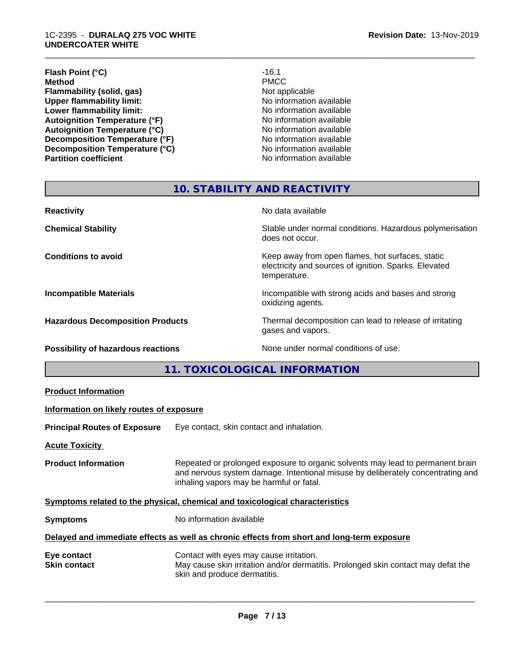#### 1C-2395 - **DURALAQ 275 VOC WHITE UNDERCOATER WHITE**

#### **Flash Point (°C)** -16.1<br> **Method** PMCC **Method** PMCC **Flammability (solid, gas)**<br> **Commability limit:**<br>
Upper flammability limit:<br>
Wo information available **Upper flammability limit:**<br> **Lower flammability limit:**<br>
No information available<br>
No information available **Lower flammability limit:**<br> **Autoignition Temperature (°F)**<br>
Mo information available<br>
No information available Autoignition Temperature (°F)<br>
Autoignition Temperature (°C)<br>
No information available **Autoignition Temperature (°C)**<br> **Decomposition Temperature (°F)** No information available **Decomposition Temperature (°F)**<br> **Decomposition Temperature (°C)**<br>
No information available **Decomposition Temperature (°C) Partition coefficient Contract Contract Contract Contract Contract Contract Contract Contract Contract Contract Contract Contract Contract Contract Contract Contract Contract Contract Contract Contract Contract Contract**

\_\_\_\_\_\_\_\_\_\_\_\_\_\_\_\_\_\_\_\_\_\_\_\_\_\_\_\_\_\_\_\_\_\_\_\_\_\_\_\_\_\_\_\_\_\_\_\_\_\_\_\_\_\_\_\_\_\_\_\_\_\_\_\_\_\_\_\_\_\_\_\_\_\_\_\_\_\_\_\_\_\_\_\_\_\_\_\_\_\_\_\_\_

# **10. STABILITY AND REACTIVITY**

| <b>Reactivity</b>                       | No data available                                                                                                         |
|-----------------------------------------|---------------------------------------------------------------------------------------------------------------------------|
| <b>Chemical Stability</b>               | Stable under normal conditions. Hazardous polymerisation<br>does not occur.                                               |
| <b>Conditions to avoid</b>              | Keep away from open flames, hot surfaces, static<br>electricity and sources of ignition. Sparks. Elevated<br>temperature. |
| <b>Incompatible Materials</b>           | Incompatible with strong acids and bases and strong<br>oxidizing agents.                                                  |
| <b>Hazardous Decomposition Products</b> | Thermal decomposition can lead to release of irritating<br>gases and vapors.                                              |
| Possibility of hazardous reactions      | None under normal conditions of use.                                                                                      |

**11. TOXICOLOGICAL INFORMATION**

| Information on likely routes of exposure<br>Eye contact, skin contact and inhalation.<br><b>Acute Toxicity</b><br>Repeated or prolonged exposure to organic solvents may lead to permanent brain<br><b>Product Information</b><br>and nervous system damage. Intentional misuse by deliberately concentrating and<br>inhaling vapors may be harmful or fatal. |
|---------------------------------------------------------------------------------------------------------------------------------------------------------------------------------------------------------------------------------------------------------------------------------------------------------------------------------------------------------------|
| <b>Principal Routes of Exposure</b><br>Symptoms related to the physical, chemical and toxicological characteristics                                                                                                                                                                                                                                           |
|                                                                                                                                                                                                                                                                                                                                                               |
|                                                                                                                                                                                                                                                                                                                                                               |
|                                                                                                                                                                                                                                                                                                                                                               |
|                                                                                                                                                                                                                                                                                                                                                               |
| No information available<br><b>Symptoms</b>                                                                                                                                                                                                                                                                                                                   |
| Delayed and immediate effects as well as chronic effects from short and long-term exposure                                                                                                                                                                                                                                                                    |
| Contact with eyes may cause irritation.<br>Eye contact<br>May cause skin irritation and/or dermatitis. Prolonged skin contact may defat the<br><b>Skin contact</b><br>skin and produce dermatitis.                                                                                                                                                            |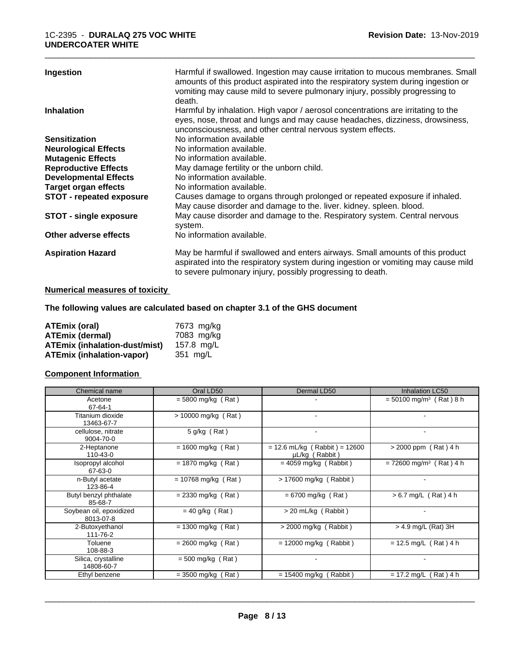| Ingestion                       | Harmful if swallowed. Ingestion may cause irritation to mucous membranes. Small<br>amounts of this product aspirated into the respiratory system during ingestion or<br>vomiting may cause mild to severe pulmonary injury, possibly progressing to<br>death. |
|---------------------------------|---------------------------------------------------------------------------------------------------------------------------------------------------------------------------------------------------------------------------------------------------------------|
| <b>Inhalation</b>               | Harmful by inhalation. High vapor / aerosol concentrations are irritating to the<br>eyes, nose, throat and lungs and may cause headaches, dizziness, drowsiness,<br>unconsciousness, and other central nervous system effects.                                |
| <b>Sensitization</b>            | No information available                                                                                                                                                                                                                                      |
| <b>Neurological Effects</b>     | No information available.                                                                                                                                                                                                                                     |
| <b>Mutagenic Effects</b>        | No information available.                                                                                                                                                                                                                                     |
| <b>Reproductive Effects</b>     | May damage fertility or the unborn child.                                                                                                                                                                                                                     |
| <b>Developmental Effects</b>    | No information available.                                                                                                                                                                                                                                     |
| <b>Target organ effects</b>     | No information available.                                                                                                                                                                                                                                     |
| <b>STOT - repeated exposure</b> | Causes damage to organs through prolonged or repeated exposure if inhaled.<br>May cause disorder and damage to the. liver. kidney. spleen. blood.                                                                                                             |
| <b>STOT - single exposure</b>   | May cause disorder and damage to the. Respiratory system. Central nervous<br>system.                                                                                                                                                                          |
| Other adverse effects           | No information available.                                                                                                                                                                                                                                     |
| <b>Aspiration Hazard</b>        | May be harmful if swallowed and enters airways. Small amounts of this product<br>aspirated into the respiratory system during ingestion or vomiting may cause mild<br>to severe pulmonary injury, possibly progressing to death.                              |

# **Numerical measures of toxicity**

# **The following values are calculated based on chapter 3.1 of the GHS document**

| <b>ATEmix (oral)</b>                 | 7673 mg/ka |
|--------------------------------------|------------|
| <b>ATEmix (dermal)</b>               | 7083 mg/kg |
| <b>ATEmix (inhalation-dust/mist)</b> | 157.8 ma/L |
| <b>ATEmix (inhalation-vapor)</b>     | 351 mg/L   |

### **Component Information**

| Chemical name                        | Oral LD50             | Dermal LD50                                       | Inhalation LC50                       |
|--------------------------------------|-----------------------|---------------------------------------------------|---------------------------------------|
| Acetone<br>67-64-1                   | $= 5800$ mg/kg (Rat)  |                                                   | $= 50100$ mg/m <sup>3</sup> (Rat) 8 h |
| Titanium dioxide<br>13463-67-7       | > 10000 mg/kg (Rat)   |                                                   |                                       |
| cellulose, nitrate<br>9004-70-0      | 5 g/kg (Rat)          |                                                   |                                       |
| 2-Heptanone<br>$110 - 43 - 0$        | $= 1600$ mg/kg (Rat)  | $= 12.6$ mL/kg (Rabbit) = 12600<br>µL/kg (Rabbit) | > 2000 ppm (Rat) 4 h                  |
| Isopropyl alcohol<br>67-63-0         | $= 1870$ mg/kg (Rat)  | $= 4059$ mg/kg (Rabbit)                           | $= 72600$ mg/m <sup>3</sup> (Rat) 4 h |
| n-Butyl acetate<br>123-86-4          | $= 10768$ mg/kg (Rat) | $> 17600$ mg/kg (Rabbit)                          |                                       |
| Butyl benzyl phthalate<br>85-68-7    | $= 2330$ mg/kg (Rat)  | $= 6700$ mg/kg (Rat)                              | $> 6.7$ mg/L (Rat) 4 h                |
| Soybean oil, epoxidized<br>8013-07-8 | $= 40$ g/kg (Rat)     | > 20 mL/kg (Rabbit)                               |                                       |
| 2-Butoxyethanol<br>111-76-2          | $= 1300$ mg/kg (Rat)  | $>$ 2000 mg/kg (Rabbit)                           | $>$ 4.9 mg/L (Rat) 3H                 |
| Toluene<br>108-88-3                  | $= 2600$ mg/kg (Rat)  | $= 12000$ mg/kg (Rabbit)                          | $= 12.5$ mg/L (Rat) 4 h               |
| Silica, crystalline<br>14808-60-7    | $= 500$ mg/kg (Rat)   |                                                   |                                       |
| Ethyl benzene                        | $=$ 3500 mg/kg (Rat)  | $= 15400$ mg/kg (<br>Rabbit)                      | $= 17.2$ mg/L (Rat) 4 h               |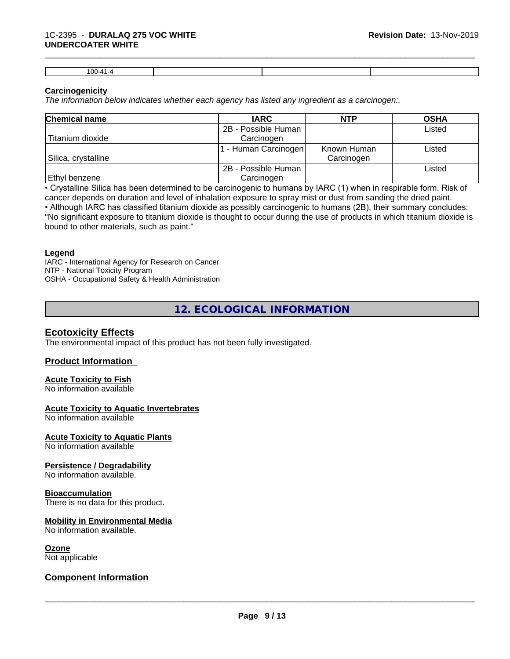| $100 - 41$<br>1 UUT |  |  |
|---------------------|--|--|

### **Carcinogenicity**

*The information below indicateswhether each agency has listed any ingredient as a carcinogen:.*

| <b>Chemical name</b> | <b>IARC</b>          | <b>NTP</b>  | <b>OSHA</b> |
|----------------------|----------------------|-------------|-------------|
|                      | 2B - Possible Human  |             | Listed      |
| Titanium dioxide     | Carcinogen           |             |             |
|                      | 1 - Human Carcinogen | Known Human | Listed      |
| Silica, crystalline  |                      | Carcinogen  |             |
|                      | 2B - Possible Human  |             | Listed      |
| <b>Ethyl benzene</b> | Carcinogen           |             |             |

• Crystalline Silica has been determined to be carcinogenic to humans by IARC (1) when in respirable form. Risk of cancer depends on duration and level of inhalation exposure to spray mist or dust from sanding the dried paint.

• Although IARC has classified titanium dioxide as possibly carcinogenic to humans (2B), their summary concludes: "No significant exposure to titanium dioxide is thought to occur during the use of products in which titanium dioxide is bound to other materials, such as paint."

#### **Legend**

IARC - International Agency for Research on Cancer NTP - National Toxicity Program OSHA - Occupational Safety & Health Administration

**12. ECOLOGICAL INFORMATION**

# **Ecotoxicity Effects**

The environmental impact of this product has not been fully investigated.

# **Product Information**

# **Acute Toxicity to Fish**

No information available

# **Acute Toxicity to Aquatic Invertebrates**

No information available

#### **Acute Toxicity to Aquatic Plants**

No information available

# **Persistence / Degradability**

No information available.

### **Bioaccumulation**

There is no data for this product.

# **Mobility in Environmental Media**

No information available.

#### **Ozone**

Not applicable

# **Component Information**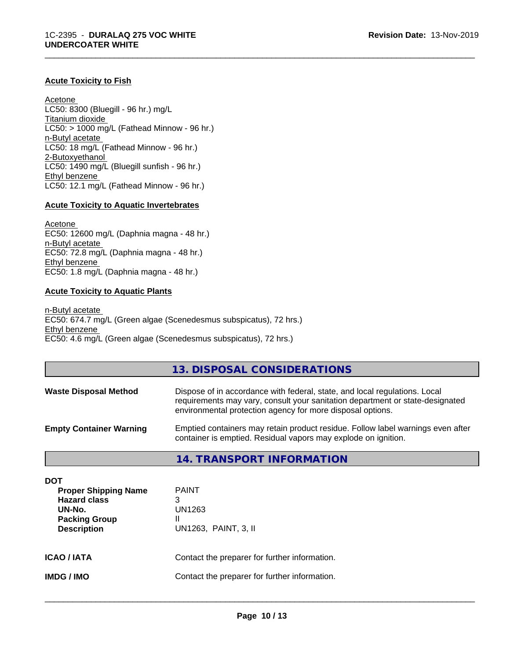## **Acute Toxicity to Fish**

Acetone LC50: 8300 (Bluegill - 96 hr.) mg/L Titanium dioxide  $LCS0:$  > 1000 mg/L (Fathead Minnow - 96 hr.) n-Butyl acetate LC50: 18 mg/L (Fathead Minnow - 96 hr.) 2-Butoxyethanol LC50: 1490 mg/L (Bluegill sunfish - 96 hr.) Ethyl benzene LC50: 12.1 mg/L (Fathead Minnow - 96 hr.)

#### **Acute Toxicity to Aquatic Invertebrates**

Acetone EC50: 12600 mg/L (Daphnia magna - 48 hr.) n-Butyl acetate EC50: 72.8 mg/L (Daphnia magna - 48 hr.) Ethyl benzene EC50: 1.8 mg/L (Daphnia magna - 48 hr.)

#### **Acute Toxicity to Aquatic Plants**

n-Butyl acetate EC50: 674.7 mg/L (Green algae (Scenedesmus subspicatus), 72 hrs.) Ethyl benzene EC50: 4.6 mg/L (Green algae (Scenedesmus subspicatus), 72 hrs.)

### **13. DISPOSAL CONSIDERATIONS**

\_\_\_\_\_\_\_\_\_\_\_\_\_\_\_\_\_\_\_\_\_\_\_\_\_\_\_\_\_\_\_\_\_\_\_\_\_\_\_\_\_\_\_\_\_\_\_\_\_\_\_\_\_\_\_\_\_\_\_\_\_\_\_\_\_\_\_\_\_\_\_\_\_\_\_\_\_\_\_\_\_\_\_\_\_\_\_\_\_\_\_\_\_

| <b>Waste Disposal Method</b>   | Dispose of in accordance with federal, state, and local regulations. Local<br>requirements may vary, consult your sanitation department or state-designated<br>environmental protection agency for more disposal options. |
|--------------------------------|---------------------------------------------------------------------------------------------------------------------------------------------------------------------------------------------------------------------------|
| <b>Empty Container Warning</b> | Emptied containers may retain product residue. Follow label warnings even after<br>container is emptied. Residual vapors may explode on ignition.                                                                         |

# **14. TRANSPORT INFORMATION**

| DOT<br><b>Proper Shipping Name</b><br><b>Hazard class</b><br>UN-No.<br><b>Packing Group</b><br><b>Description</b> | <b>PAINT</b><br>3<br>UN1263<br>Ш<br>UN1263, PAINT, 3, II |
|-------------------------------------------------------------------------------------------------------------------|----------------------------------------------------------|
| <b>ICAO/IATA</b>                                                                                                  | Contact the preparer for further information.            |
| <b>IMDG/IMO</b>                                                                                                   | Contact the preparer for further information.            |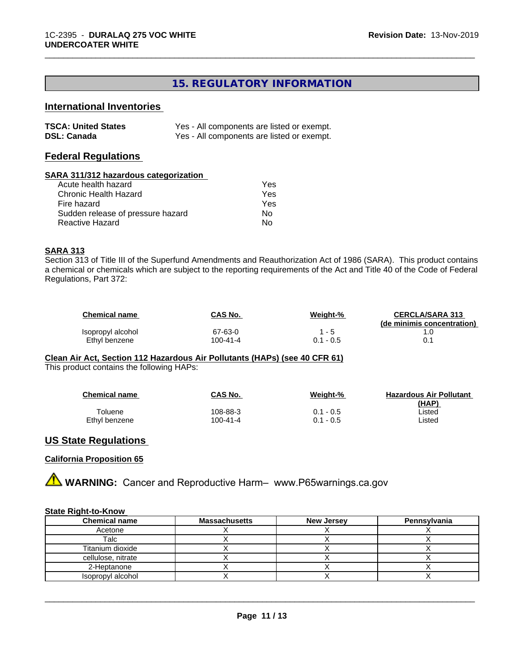# **15. REGULATORY INFORMATION**

\_\_\_\_\_\_\_\_\_\_\_\_\_\_\_\_\_\_\_\_\_\_\_\_\_\_\_\_\_\_\_\_\_\_\_\_\_\_\_\_\_\_\_\_\_\_\_\_\_\_\_\_\_\_\_\_\_\_\_\_\_\_\_\_\_\_\_\_\_\_\_\_\_\_\_\_\_\_\_\_\_\_\_\_\_\_\_\_\_\_\_\_\_

# **International Inventories**

| <b>TSCA: United States</b> | Yes - All components are listed or exempt. |
|----------------------------|--------------------------------------------|
| <b>DSL: Canada</b>         | Yes - All components are listed or exempt. |

### **Federal Regulations**

#### **SARA 311/312 hazardous categorization**

| Acute health hazard               | Yes |
|-----------------------------------|-----|
| Chronic Health Hazard             | Yes |
| Fire hazard                       | Yes |
| Sudden release of pressure hazard | Nο  |
| Reactive Hazard                   | N٥  |

### **SARA 313**

Section 313 of Title III of the Superfund Amendments and Reauthorization Act of 1986 (SARA). This product contains a chemical or chemicals which are subject to the reporting requirements of the Act and Title 40 of the Code of Federal Regulations, Part 372:

| <b>Chemical name</b> | CAS No.  | Weight-%    | <b>CERCLA/SARA 313</b>     |
|----------------------|----------|-------------|----------------------------|
|                      |          |             | (de minimis concentration) |
| Isopropyl alcohol    | 67-63-0  | 1 - 5       |                            |
| Ethyl benzene        | 100-41-4 | $0.1 - 0.5$ | 0.1                        |

**Clean Air Act,Section 112 Hazardous Air Pollutants (HAPs) (see 40 CFR 61)** This product contains the following HAPs:

| <b>Chemical name</b> | CAS No.  | Weight-%    | <b>Hazardous Air Pollutant</b><br>(HAP) |
|----------------------|----------|-------------|-----------------------------------------|
| $\tau$ oluene        | 108-88-3 | $0.1 - 0.5$ | Listed                                  |
| Ethyl benzene        | 100-41-4 | $0.1 - 0.5$ | ∟isted                                  |

## **US State Regulations**

### **California Proposition 65**

**AN** WARNING: Cancer and Reproductive Harm– www.P65warnings.ca.gov

#### **State Right-to-Know**

| <b>Chemical name</b> | <b>Massachusetts</b> | <b>New Jersey</b> | Pennsylvania |
|----------------------|----------------------|-------------------|--------------|
| Acetone              |                      |                   |              |
| Talc                 |                      |                   |              |
| Titanium dioxide     |                      |                   |              |
| cellulose, nitrate   |                      |                   |              |
| 2-Heptanone          |                      |                   |              |
| Isopropyl alcohol    |                      |                   |              |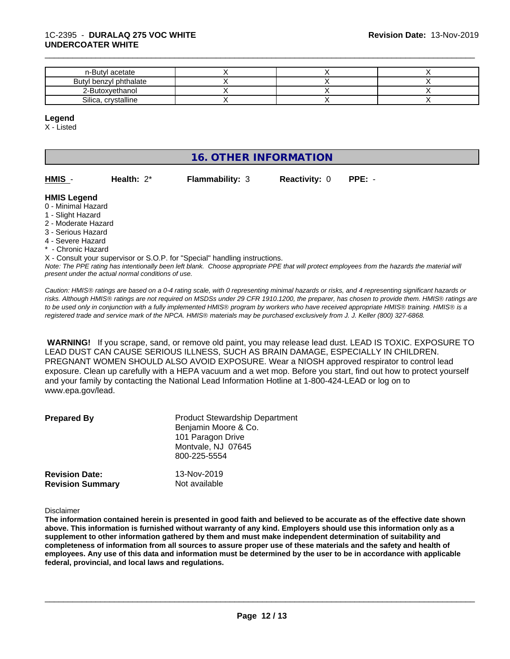| n-Butyl acetate        |  |  |
|------------------------|--|--|
| Butyl benzyl phthalate |  |  |
| 2-Butoxyethanol        |  |  |
| Silica, crystalline    |  |  |

#### **Legend**

X - Listed

# **16. OTHER INFORMATION**

| HMIS | Health: $2^*$ | <b>Flammability: 3</b> | <b>Reactivity: 0 PPE: -</b> |  |
|------|---------------|------------------------|-----------------------------|--|

### **HMIS Legend**

- 0 Minimal Hazard
- 1 Slight Hazard
- 2 Moderate Hazard
- 3 Serious Hazard
- 4 Severe Hazard
- \* Chronic Hazard

*Note: The PPE rating has intentionally been left blank. Choose appropriate PPE that will protect employees from the hazards the material will present under the actual normal conditions of use.* X - Consult your supervisor or S.O.P. for "Special" handling instructions.

*Caution: HMISÒ ratings are based on a 0-4 rating scale, with 0 representing minimal hazards or risks, and 4 representing significant hazards or risks. Although HMISÒ ratings are not required on MSDSs under 29 CFR 1910.1200, the preparer, has chosen to provide them. HMISÒ ratings are to be used only in conjunction with a fully implemented HMISÒ program by workers who have received appropriate HMISÒ training. HMISÒ is a registered trade and service mark of the NPCA. HMISÒ materials may be purchased exclusively from J. J. Keller (800) 327-6868.*

 **WARNING!** If you scrape, sand, or remove old paint, you may release lead dust. LEAD IS TOXIC. EXPOSURE TO LEAD DUST CAN CAUSE SERIOUS ILLNESS, SUCH AS BRAIN DAMAGE, ESPECIALLY IN CHILDREN. PREGNANT WOMEN SHOULD ALSO AVOID EXPOSURE. Wear a NIOSH approved respirator to control lead exposure. Clean up carefully with a HEPA vacuum and a wet mop. Before you start, find out how to protect yourself and your family by contacting the National Lead Information Hotline at 1-800-424-LEAD or log on to www.epa.gov/lead.

| <b>Prepared By</b>                               | <b>Product Stewardship Department</b><br>Benjamin Moore & Co.<br>101 Paragon Drive<br>Montvale, NJ 07645<br>800-225-5554 |  |
|--------------------------------------------------|--------------------------------------------------------------------------------------------------------------------------|--|
| <b>Revision Date:</b><br><b>Revision Summary</b> | 13-Nov-2019<br>Not available                                                                                             |  |

Disclaimer

The information contained herein is presented in good faith and believed to be accurate as of the effective date shown above. This information is furnished without warranty of any kind. Employers should use this information only as a **supplement to other information gathered by them and must make independent determination of suitability and** completeness of information from all sources to assure proper use of these materials and the safety and health of employees. Any use of this data and information must be determined by the user to be in accordance with applicable **federal, provincial, and local laws and regulations.**